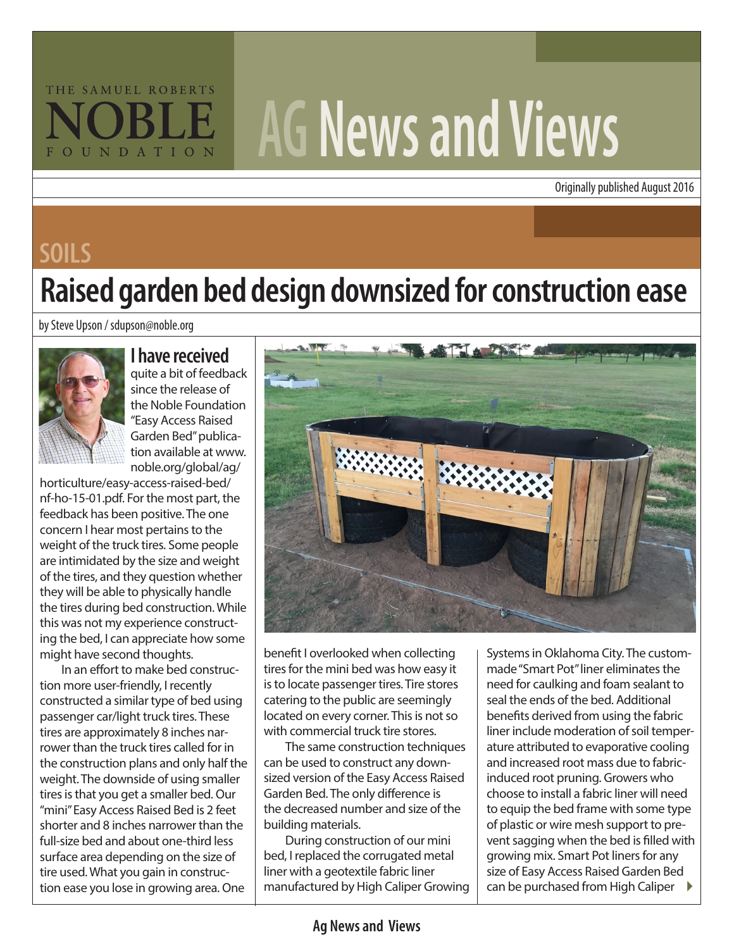# THE SAMUEL ROBERTS FOUNDATION

# **AG News and Views**

Originally published August 2016

#### **SOILS**

## **Raised garden bed design downsized for construction ease**

by Steve Upson / sdupson@noble.org



#### **I have received**

quite a bit of feedback since the release of the Noble Foundation "Easy Access Raised Garden Bed" publication available at www. noble.org/global/ag/

horticulture/easy-access-raised-bed/ nf-ho-15-01.pdf. For the most part, the feedback has been positive. The one concern I hear most pertains to the weight of the truck tires. Some people are intimidated by the size and weight of the tires, and they question whether they will be able to physically handle the tires during bed construction. While this was not my experience constructing the bed, I can appreciate how some might have second thoughts.

In an effort to make bed construction more user-friendly, I recently constructed a similar type of bed using passenger car/light truck tires. These tires are approximately 8 inches narrower than the truck tires called for in the construction plans and only half the weight. The downside of using smaller tires is that you get a smaller bed. Our "mini" Easy Access Raised Bed is 2 feet shorter and 8 inches narrower than the full-size bed and about one-third less surface area depending on the size of tire used. What you gain in construction ease you lose in growing area. One



benefit I overlooked when collecting tires for the mini bed was how easy it is to locate passenger tires. Tire stores catering to the public are seemingly located on every corner. This is not so with commercial truck tire stores.

The same construction techniques can be used to construct any downsized version of the Easy Access Raised Garden Bed. The only difference is the decreased number and size of the building materials.

During construction of our mini bed, I replaced the corrugated metal liner with a geotextile fabric liner manufactured by High Caliper Growing

can be purchased from High Caliper  $\quadblacktriangleright$ Systems in Oklahoma City. The custommade "Smart Pot" liner eliminates the need for caulking and foam sealant to seal the ends of the bed. Additional benefits derived from using the fabric liner include moderation of soil temperature attributed to evaporative cooling and increased root mass due to fabricinduced root pruning. Growers who choose to install a fabric liner will need to equip the bed frame with some type of plastic or wire mesh support to prevent sagging when the bed is filled with growing mix. Smart Pot liners for any size of Easy Access Raised Garden Bed